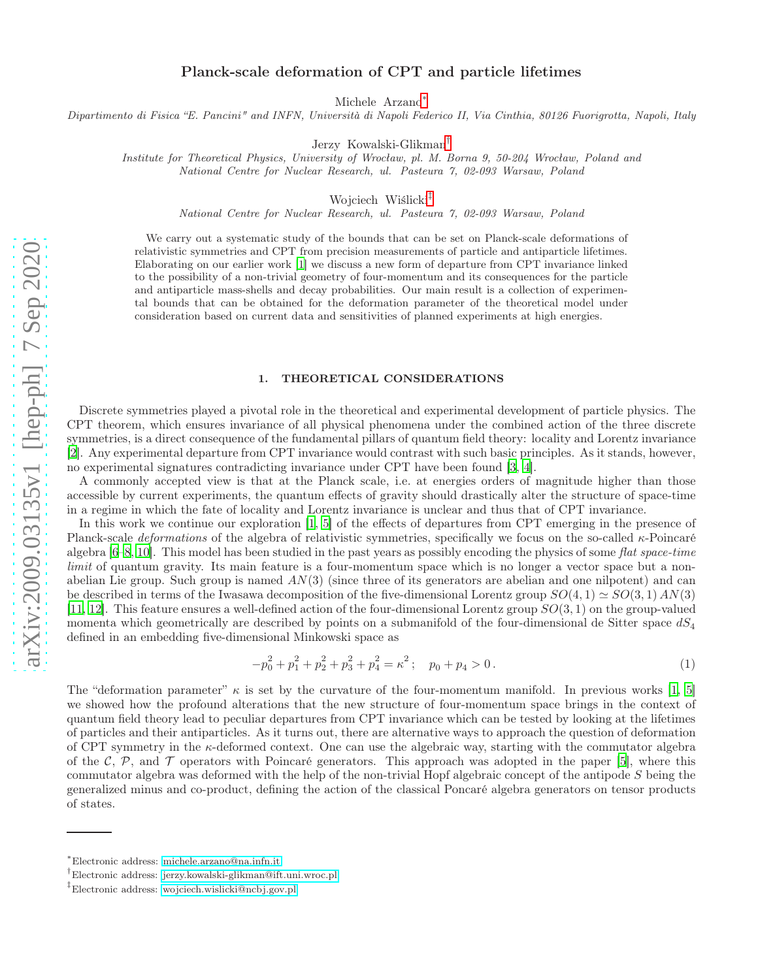## Planck-scale deformation of CPT and particle lifetimes

Michele Arzano[∗](#page-0-0)

Dipartimento di Fisica "E. Pancini" and INFN, Università di Napoli Federico II, Via Cinthia, 80126 Fuorigrotta, Napoli, Italy

Jerzy Kowalski-Glikman[†](#page-0-1)

Institute for Theoretical Physics, University of Wrocław, pl. M. Borna 9, 50-204 Wrocław, Poland and National Centre for Nuclear Research, ul. Pasteura 7, 02-093 Warsaw, Poland

Wojciech Wiślicki[‡](#page-0-2)

National Centre for Nuclear Research, ul. Pasteura 7, 02-093 Warsaw, Poland

We carry out a systematic study of the bounds that can be set on Planck-scale deformations of relativistic symmetries and CPT from precision measurements of particle and antiparticle lifetimes. Elaborating on our earlier work [\[1\]](#page-5-0) we discuss a new form of departure from CPT invariance linked to the possibility of a non-trivial geometry of four-momentum and its consequences for the particle and antiparticle mass-shells and decay probabilities. Our main result is a collection of experimental bounds that can be obtained for the deformation parameter of the theoretical model under consideration based on current data and sensitivities of planned experiments at high energies.

## 1. THEORETICAL CONSIDERATIONS

Discrete symmetries played a pivotal role in the theoretical and experimental development of particle physics. The CPT theorem, which ensures invariance of all physical phenomena under the combined action of the three discrete symmetries, is a direct consequence of the fundamental pillars of quantum field theory: locality and Lorentz invariance [\[2\]](#page-5-1). Any experimental departure from CPT invariance would contrast with such basic principles. As it stands, however, no experimental signatures contradicting invariance under CPT have been found [\[3](#page-5-2), [4](#page-5-3)].

A commonly accepted view is that at the Planck scale, i.e. at energies orders of magnitude higher than those accessible by current experiments, the quantum effects of gravity should drastically alter the structure of space-time in a regime in which the fate of locality and Lorentz invariance is unclear and thus that of CPT invariance.

In this work we continue our exploration [\[1,](#page-5-0) [5\]](#page-5-4) of the effects of departures from CPT emerging in the presence of Planck-scale *deformations* of the algebra of relativistic symmetries, specifically we focus on the so-called  $\kappa$ -Poincaré algebra  $[6–8, 10]$  $[6–8, 10]$  $[6–8, 10]$ . This model has been studied in the past years as possibly encoding the physics of some flat space-time limit of quantum gravity. Its main feature is a four-momentum space which is no longer a vector space but a nonabelian Lie group. Such group is named  $AN(3)$  (since three of its generators are abelian and one nilpotent) and can be described in terms of the Iwasawa decomposition of the five-dimensional Lorentz group  $SO(4,1) \simeq SO(3,1)$  AN(3) [\[11,](#page-5-8) [12](#page-5-9)]. This feature ensures a well-defined action of the four-dimensional Lorentz group  $SO(3, 1)$  on the group-valued momenta which geometrically are described by points on a submanifold of the four-dimensional de Sitter space  $dS_4$ defined in an embedding five-dimensional Minkowski space as

$$
-p_0^2 + p_1^2 + p_2^2 + p_3^2 + p_4^2 = \kappa^2; \quad p_0 + p_4 > 0.
$$
 (1)

The "deformation parameter"  $\kappa$  is set by the curvature of the four-momentum manifold. In previous works [\[1](#page-5-0), [5](#page-5-4)] we showed how the profound alterations that the new structure of four-momentum space brings in the context of quantum field theory lead to peculiar departures from CPT invariance which can be tested by looking at the lifetimes of particles and their antiparticles. As it turns out, there are alternative ways to approach the question of deformation of CPT symmetry in the κ-deformed context. One can use the algebraic way, starting with the commutator algebra of the C, P, and T operators with Poincaré generators. This approach was adopted in the paper [\[5](#page-5-4)], where this commutator algebra was deformed with the help of the non-trivial Hopf algebraic concept of the antipode S being the generalized minus and co-product, defining the action of the classical Poncaré algebra generators on tensor products of states.

<span id="page-0-0"></span><sup>∗</sup> Electronic address: [michele.arzano@na.infn.it](mailto:michele.arzano@na.infn.it)

<span id="page-0-1"></span><sup>†</sup> Electronic address: [jerzy.kowalski-glikman@ift.uni.wroc.pl](mailto:jerzy.kowalski-glikman@ift.uni.wroc.pl)

<span id="page-0-2"></span><sup>‡</sup> Electronic address: [wojciech.wislicki@ncbj.gov.pl](mailto:wojciech.wislicki@ncbj.gov.pl)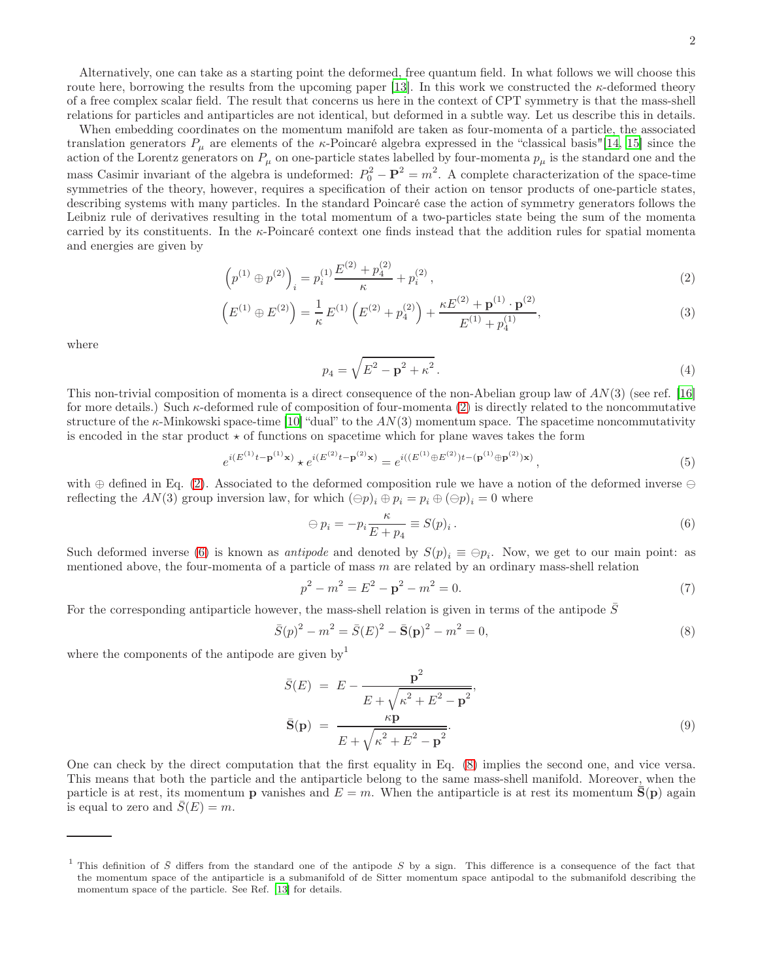Alternatively, one can take as a starting point the deformed, free quantum field. In what follows we will choose this route here, borrowing the results from the upcoming paper [\[13\]](#page-5-10). In this work we constructed the  $\kappa$ -deformed theory of a free complex scalar field. The result that concerns us here in the context of CPT symmetry is that the mass-shell relations for particles and antiparticles are not identical, but deformed in a subtle way. Let us describe this in details.

When embedding coordinates on the momentum manifold are taken as four-momenta of a particle, the associated translation generators  $P_\mu$  are elements of the *κ*-Poincaré algebra expressed in the "classical basis"[\[14,](#page-5-11) [15\]](#page-5-12) since the action of the Lorentz generators on  $P_\mu$  on one-particle states labelled by four-momenta  $p_\mu$  is the standard one and the mass Casimir invariant of the algebra is undeformed:  $P_0^2 - P_1^2 = m^2$ . A complete characterization of the space-time symmetries of the theory, however, requires a specification of their action on tensor products of one-particle states, describing systems with many particles. In the standard Poincaré case the action of symmetry generators follows the Leibniz rule of derivatives resulting in the total momentum of a two-particles state being the sum of the momenta carried by its constituents. In the κ-Poincaré context one finds instead that the addition rules for spatial momenta and energies are given by

$$
\left(p^{(1)} \oplus p^{(2)}\right)_i = p_i^{(1)} \frac{E^{(2)} + p_4^{(2)}}{\kappa} + p_i^{(2)},\tag{2}
$$

$$
\left(E^{(1)} \oplus E^{(2)}\right) = \frac{1}{\kappa} E^{(1)} \left(E^{(2)} + p_4^{(2)}\right) + \frac{\kappa E^{(2)} + \mathbf{p}^{(1)} \cdot \mathbf{p}^{(2)}}{E^{(1)} + p_4^{(1)}},\tag{3}
$$

where

<span id="page-1-0"></span>
$$
p_4 = \sqrt{E^2 - \mathbf{p}^2 + \kappa^2} \,. \tag{4}
$$

This non-trivial composition of momenta is a direct consequence of the non-Abelian group law of  $AN(3)$  (see ref. [\[16](#page-5-13)] for more details.) Such  $\kappa$ -deformed rule of composition of four-momenta [\(2\)](#page-1-0) is directly related to the noncommutative structure of the  $\kappa$ -Minkowski space-time [\[10](#page-5-7)] "dual" to the  $AN(3)$  momentum space. The spacetime noncommutativity is encoded in the star product  $\star$  of functions on spacetime which for plane waves takes the form

$$
e^{i(E^{(1)}t-\mathbf{p}^{(1)}\mathbf{x})} + e^{i(E^{(2)}t-\mathbf{p}^{(2)}\mathbf{x})} = e^{i((E^{(1)}\oplus E^{(2)})t-(\mathbf{p}^{(1)}\oplus \mathbf{p}^{(2)})\mathbf{x})},
$$
\n(5)

with ⊕ defined in Eq. [\(2\)](#page-1-0). Associated to the deformed composition rule we have a notion of the deformed inverse ⊖ reflecting the AN(3) group inversion law, for which  $(\ominus p)_i \oplus p_i = p_i \oplus (\ominus p)_i = 0$  where

<span id="page-1-1"></span>
$$
\Theta p_i = -p_i \frac{\kappa}{E + p_4} \equiv S(p)_i. \tag{6}
$$

Such deformed inverse [\(6\)](#page-1-1) is known as *antipode* and denoted by  $S(p)_i \equiv \bigoplus p_i$ . Now, we get to our main point: as mentioned above, the four-momenta of a particle of mass  $m$  are related by an ordinary mass-shell relation

$$
p^2 - m^2 = E^2 - \mathbf{p}^2 - m^2 = 0.
$$
 (7)

For the corresponding antiparticle however, the mass-shell relation is given in terms of the antipode  $S$ 

<span id="page-1-2"></span>
$$
\bar{S}(p)^{2} - m^{2} = \bar{S}(E)^{2} - \bar{S}(p)^{2} - m^{2} = 0,
$$
\n(8)

where the components of the antipode are given by  $\mu$ 

<span id="page-1-3"></span>
$$
\bar{S}(E) = E - \frac{\mathbf{p}^2}{E + \sqrt{\kappa^2 + E^2 - \mathbf{p}^2}},
$$
  

$$
\bar{S}(\mathbf{p}) = \frac{\kappa \mathbf{p}}{E + \sqrt{\kappa^2 + E^2 - \mathbf{p}^2}}.
$$
 (9)

One can check by the direct computation that the first equality in Eq. [\(8\)](#page-1-2) implies the second one, and vice versa. This means that both the particle and the antiparticle belong to the same mass-shell manifold. Moreover, when the particle is at rest, its momentum **p** vanishes and  $E = m$ . When the antiparticle is at rest its momentum  $S(p)$  again is equal to zero and  $S(E) = m$ .

This definition of  $\bar{S}$  differs from the standard one of the antipode S by a sign. This difference is a consequence of the fact that the momentum space of the antiparticle is a submanifold of de Sitter momentum space antipodal to the submanifold describing the momentum space of the particle. See Ref. [\[13](#page-5-10)] for details.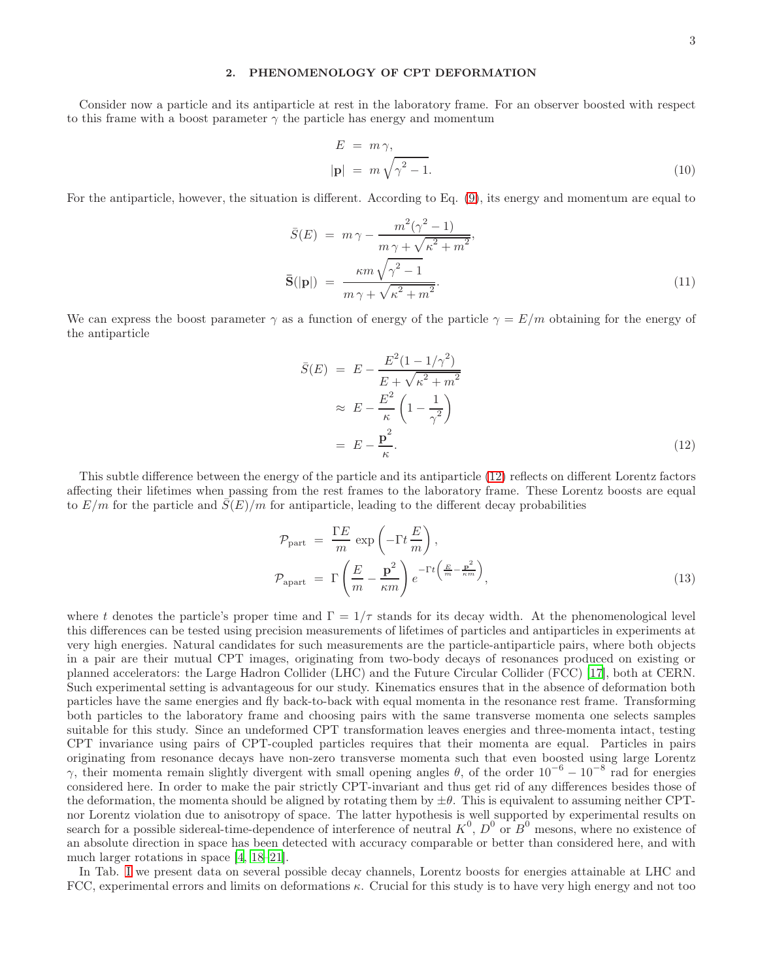## 2. PHENOMENOLOGY OF CPT DEFORMATION

Consider now a particle and its antiparticle at rest in the laboratory frame. For an observer boosted with respect to this frame with a boost parameter  $\gamma$  the particle has energy and momentum

$$
E = m\gamma,
$$
  
 
$$
|\mathbf{p}| = m\sqrt{\gamma^2 - 1}.
$$
 (10)

For the antiparticle, however, the situation is different. According to Eq. [\(9\)](#page-1-3), its energy and momentum are equal to

$$
\bar{S}(E) = m\gamma - \frac{m^2(\gamma^2 - 1)}{m\gamma + \sqrt{\kappa^2 + m^2}},
$$
  

$$
\bar{S}(|\mathbf{p}|) = \frac{\kappa m \sqrt{\gamma^2 - 1}}{m\gamma + \sqrt{\kappa^2 + m^2}}.
$$
 (11)

We can express the boost parameter  $\gamma$  as a function of energy of the particle  $\gamma = E/m$  obtaining for the energy of the antiparticle

<span id="page-2-0"></span>
$$
\bar{S}(E) = E - \frac{E^2 (1 - 1/\gamma^2)}{E + \sqrt{\kappa^2 + m^2}}
$$
  
\n
$$
\approx E - \frac{E^2}{\kappa} \left(1 - \frac{1}{\gamma^2}\right)
$$
  
\n
$$
= E - \frac{p^2}{\kappa}.
$$
\n(12)

This subtle difference between the energy of the particle and its antiparticle [\(12\)](#page-2-0) reflects on different Lorentz factors affecting their lifetimes when passing from the rest frames to the laboratory frame. These Lorentz boosts are equal to  $E/m$  for the particle and  $S(E)/m$  for antiparticle, leading to the different decay probabilities

<span id="page-2-1"></span>
$$
\mathcal{P}_{\text{part}} = \frac{\Gamma E}{m} \exp\left(-\Gamma t \frac{E}{m}\right),
$$
\n
$$
\mathcal{P}_{\text{apart}} = \Gamma \left(\frac{E}{m} - \frac{\mathbf{p}^2}{\kappa m}\right) e^{-\Gamma t \left(\frac{E}{m} - \frac{\mathbf{p}^2}{\kappa m}\right)},
$$
\n(13)

where t denotes the particle's proper time and  $\Gamma = 1/\tau$  stands for its decay width. At the phenomenological level this differences can be tested using precision measurements of lifetimes of particles and antiparticles in experiments at very high energies. Natural candidates for such measurements are the particle-antiparticle pairs, where both objects in a pair are their mutual CPT images, originating from two-body decays of resonances produced on existing or planned accelerators: the Large Hadron Collider (LHC) and the Future Circular Collider (FCC) [\[17\]](#page-5-14), both at CERN. Such experimental setting is advantageous for our study. Kinematics ensures that in the absence of deformation both particles have the same energies and fly back-to-back with equal momenta in the resonance rest frame. Transforming both particles to the laboratory frame and choosing pairs with the same transverse momenta one selects samples suitable for this study. Since an undeformed CPT transformation leaves energies and three-momenta intact, testing CPT invariance using pairs of CPT-coupled particles requires that their momenta are equal. Particles in pairs originating from resonance decays have non-zero transverse momenta such that even boosted using large Lorentz γ, their momenta remain slightly divergent with small opening angles  $\theta$ , of the order  $10^{-6} - 10^{-8}$  rad for energies considered here. In order to make the pair strictly CPT-invariant and thus get rid of any differences besides those of the deformation, the momenta should be aligned by rotating them by  $\pm\theta$ . This is equivalent to assuming neither CPTnor Lorentz violation due to anisotropy of space. The latter hypothesis is well supported by experimental results on search for a possible sidereal-time-dependence of interference of neutral  $K^0$ ,  $D^0$  or  $B^0$  mesons, where no existence of an absolute direction in space has been detected with accuracy comparable or better than considered here, and with much larger rotations in space [\[4,](#page-5-3) [18](#page-5-15)[–21](#page-6-0)].

In Tab. [I](#page-3-0) we present data on several possible decay channels, Lorentz boosts for energies attainable at LHC and FCC, experimental errors and limits on deformations  $\kappa$ . Crucial for this study is to have very high energy and not too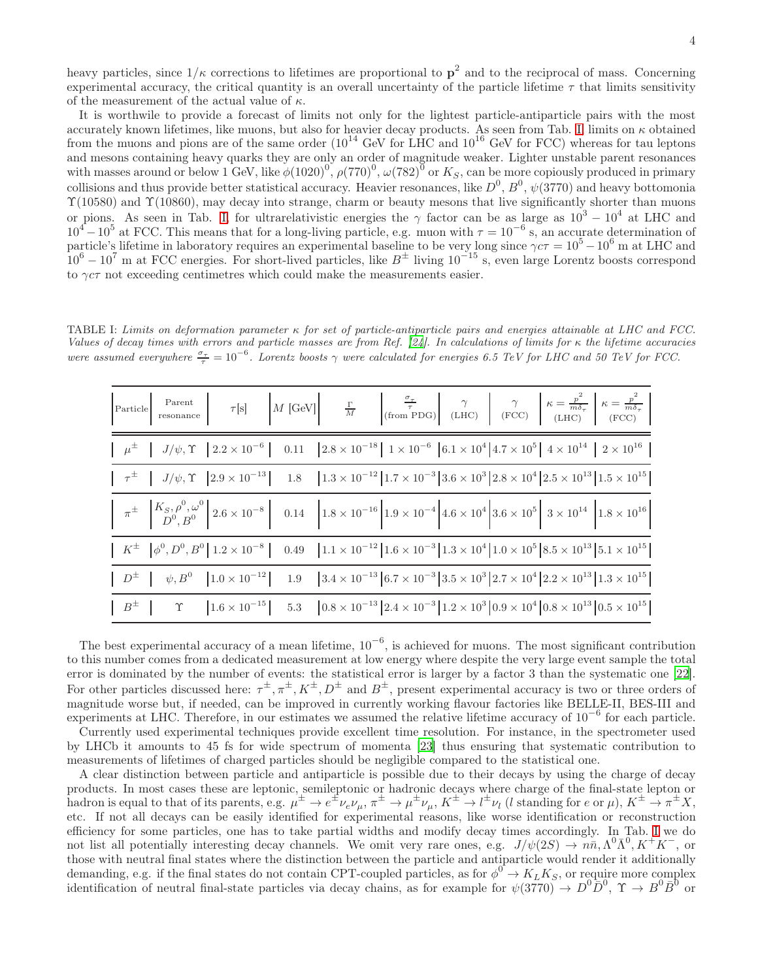heavy particles, since  $1/\kappa$  corrections to lifetimes are proportional to  $p^2$  and to the reciprocal of mass. Concerning experimental accuracy, the critical quantity is an overall uncertainty of the particle lifetime  $\tau$  that limits sensitivity of the measurement of the actual value of  $\kappa$ .

It is worthwile to provide a forecast of limits not only for the lightest particle-antiparticle pairs with the most accurately known lifetimes, like muons, but also for heavier decay products. As seen from Tab. [I,](#page-3-0) limits on  $\kappa$  obtained from the muons and pions are of the same order  $(10^{14}$  GeV for LHC and  $10^{16}$  GeV for FCC) whereas for tau leptons and mesons containing heavy quarks they are only an order of magnitude weaker. Lighter unstable parent resonances with masses around or below 1 GeV, like  $\phi(1020)^0$ ,  $\rho(770)^0$ ,  $\omega(782)^0$  or  $K_S$ , can be more copiously produced in primary collisions and thus provide better statistical accuracy. Heavier resonances, like  $D^0$ ,  $B^0$ ,  $\psi(3770)$  and heavy bottomonia  $\Upsilon(10580)$  and  $\Upsilon(10860)$ , may decay into strange, charm or beauty mesons that live significantly shorter than muons or pions. As seen in Tab. [I,](#page-3-0) for ultrarelativistic energies the  $\gamma$  factor can be as large as  $10^3 - 10^4$  at LHC and  $10^4 - 10^5$  at FCC. This means that for a long-living particle, e.g. muon with  $\tau = 10^{-6}$  s, an accurate determination of particle's lifetime in laboratory requires an experimental baseline to be very long since  $\gamma c \tau = 10^5 - 10^6$  m at LHC and  $10^6 - 10^7$  m at FCC energies. For short-lived particles, like  $B^{\pm}$  living  $10^{-15}$  s, even large Lorentz boosts correspond to  $\gamma c\tau$  not exceeding centimetres which could make the measurements easier.

TABLE I: Limits on deformation parameter κ for set of particle-antiparticle pairs and energies attainable at LHC and FCC. Values of decay times with errors and particle masses are from Ref. [\[24\]](#page-6-1). In calculations of limits for  $\kappa$  the lifetime accuracies were assumed everywhere  $\frac{\sigma_{\tau}}{\tau} = 10^{-6}$ . Lorentz boosts  $\gamma$  were calculated for energies 6.5 TeV for LHC and 50 TeV for FCC.

<span id="page-3-0"></span>

|  |  | $\left  \begin{array}{c} \mu^{\pm} \\ \end{array} \right   \left  \begin{array}{c} J/\psi, \Upsilon \\ \end{array} \right  2.2 \times 10^{-6}$ $\left  \begin{array}{c} 0.11 \\ 0.11 \end{array} \right  2.8 \times 10^{-18}$ $\left  \begin{array}{c} 1 \times 10^{-6} \\ 6.1 \times 10^{4} \end{array} \right  4.7 \times 10^{5}$ $\left  \begin{array}{c} 4 \times 10^{14} \\ \end{array} \right  2 \times 10^{16}$                     |  |  |
|--|--|--------------------------------------------------------------------------------------------------------------------------------------------------------------------------------------------------------------------------------------------------------------------------------------------------------------------------------------------------------------------------------------------------------------------------------------------|--|--|
|  |  | $\begin{array}{ c c c c c c c c } \hline \vphantom{\Big } \tau^{\pm} & J/\psi, \Upsilon & 2.9\times 10^{-13} & 1.8 & \left[1.3\times 10^{-12} \right] 1.7\times 10^{-3} & 3.6\times 10^{3} & 2.8\times 10^{4} & 2.5\times 10^{13} & 1.5\times 10^{15} & 0.000 & 0.000 & 0.000 & 0.000 & 0.000 & 0.000 & 0.000 & 0.000 & 0.000 & 0.0$                                                                                                       |  |  |
|  |  | $\left[ \begin{array}{cc} \pi^{\pm} & \left. \left. \begin{array}{c} K_S, \rho^0, \omega^0 \\ D^0, B^0 \end{array} \right  2.6 \times 10^{-8} \right] & 0.14 \end{array} \right. \nonumber \\ \left. \left. \begin{array}{c} 0.14 & \left. \left. \right  1.8 \times 10^{-16} \right  1.9 \times 10^{-4} \left  4.6 \times 10^4 \right  3.6 \times 10^5 \right  \\ 3.6 \times 10^5 & 3 \times 10^{14} \end{array} \right  1.8 \times 10^{$ |  |  |
|  |  | $\begin{array}{ c c c c c c c c } \hline & & & & \hline \end{array} \left  \begin{array}{c c c c} 0.28 & 0.49 & 0.49 & 1.1\times10^{-12} & 1.6\times10^{-3} & 1.3\times10^{4} & 1.0\times10^{5} & 8.5\times10^{13} & 5.1\times10^{15} & 0.000 & 0.000 & 0.000 & 0.000 & 0.000 & 0.000 & 0.000 & 0.000 & 0.000 & 0.000 & 0.$                                                                                                                |  |  |
|  |  | $\begin{array}{ c c c c c c } \hline D^{\pm} & \psi, B^{0} & \text{1.0}\times 10^{-12} & 1.9 & \text{3.4}\times 10^{-13}\text{ }6.7\times 10^{-3}\text{ }3.5\times 10^{3}\text{ }2.7\times 10^{4}\text{ }2.2\times 10^{13}\text{ }1.3\times 10^{15}\hline \end{array}$                                                                                                                                                                     |  |  |
|  |  |                                                                                                                                                                                                                                                                                                                                                                                                                                            |  |  |

The best experimental accuracy of a mean lifetime,  $10^{-6}$ , is achieved for muons. The most significant contribution to this number comes from a dedicated measurement at low energy where despite the very large event sample the total error is dominated by the number of events: the statistical error is larger by a factor 3 than the systematic one [\[22\]](#page-6-2). For other particles discussed here:  $\tau^{\pm}, \pi^{\pm}, K^{\pm}, D^{\pm}$  and  $B^{\pm}$ , present experimental accuracy is two or three orders of magnitude worse but, if needed, can be improved in currently working flavour factories like BELLE-II, BES-III and experiments at LHC. Therefore, in our estimates we assumed the relative lifetime accuracy of 10<sup>−</sup><sup>6</sup> for each particle.

Currently used experimental techniques provide excellent time resolution. For instance, in the spectrometer used by LHCb it amounts to 45 fs for wide spectrum of momenta [\[23\]](#page-6-3) thus ensuring that systematic contribution to measurements of lifetimes of charged particles should be negligible compared to the statistical one.

A clear distinction between particle and antiparticle is possible due to their decays by using the charge of decay products. In most cases these are leptonic, semileptonic or hadronic decays where charge of the final-state lepton or hadron is equal to that of its parents, e.g.  $\mu^{\pm} \to e^{\pm} \nu_e \nu_\mu$ ,  $\pi^{\pm} \to \mu^{\pm} \nu_\mu$ ,  $K^{\pm} \to l^{\pm} \nu_l$  (*l* standing for e or  $\mu$ ),  $K^{\pm} \to \pi^{\pm} X$ , etc. If not all decays can be easily identified for experimental reasons, like worse identification or reconstruction efficiency for some particles, one has to take partial widths and modify decay times accordingly. In Tab. [I](#page-3-0) we do not list all potentially interesting decay channels. We omit very rare ones, e.g.  $J/\psi(2S) \to n\bar{n}, \Lambda^0 \bar{\Lambda}^0, K^+K^-$ , or those with neutral final states where the distinction between the particle and antiparticle would render it additionally demanding, e.g. if the final states do not contain CPT-coupled particles, as for  $\phi^0 \to K_L K_S$ , or require more complex identification of neutral final-state particles via decay chains, as for example for  $\psi(3770) \to D^0 \bar{D}^0$ ,  $\Upsilon \to B^0 \bar{B}^0$  or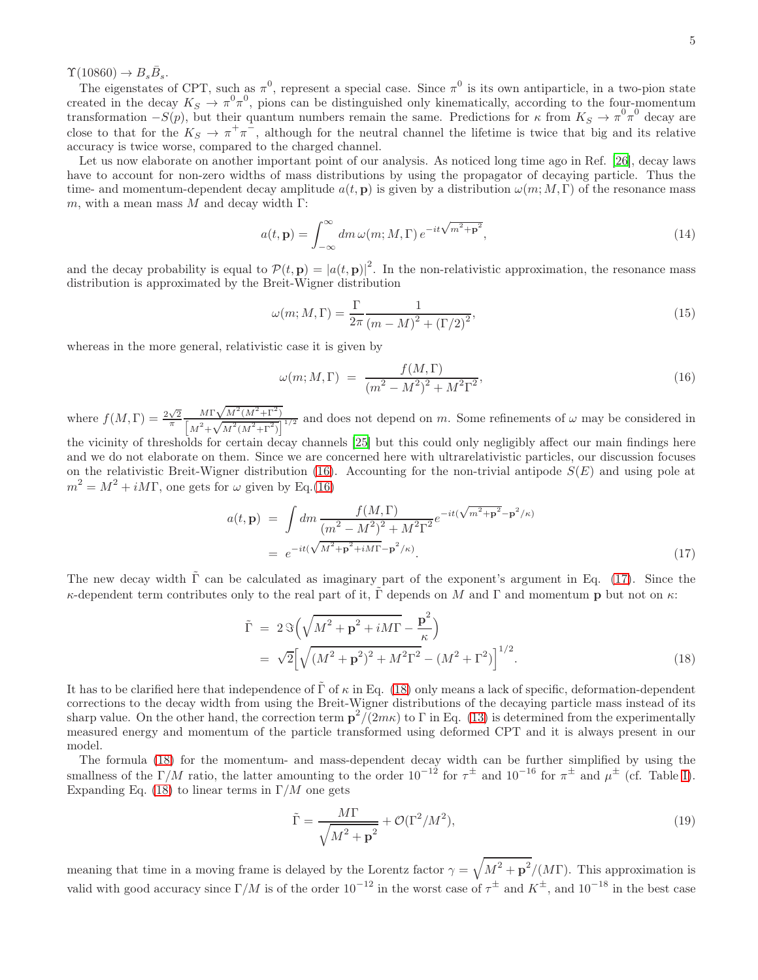$\Upsilon(10860) \to B_s \bar{B}_s.$ 

The eigenstates of CPT, such as  $\pi^0$ , represent a special case. Since  $\pi^0$  is its own antiparticle, in a two-pion state created in the decay  $K_S \to \pi^0 \pi^0$ , pions can be distinguished only kinematically, according to the four-momentum transformation  $-S(p)$ , but their quantum numbers remain the same. Predictions for  $\kappa$  from  $K_S \to \pi^0 \pi^0$  decay are close to that for the  $K_S \to \pi^+\pi^-$ , although for the neutral channel the lifetime is twice that big and its relative accuracy is twice worse, compared to the charged channel.

Let us now elaborate on another important point of our analysis. As noticed long time ago in Ref. [\[26](#page-6-4)], decay laws have to account for non-zero widths of mass distributions by using the propagator of decaying particle. Thus the time- and momentum-dependent decay amplitude  $a(t, \mathbf{p})$  is given by a distribution  $\omega(m; M, \Gamma)$  of the resonance mass m, with a mean mass M and decay width  $\Gamma$ :

$$
a(t, \mathbf{p}) = \int_{-\infty}^{\infty} dm \,\omega(m; M, \Gamma) \, e^{-it\sqrt{m^2 + \mathbf{p}^2}},\tag{14}
$$

and the decay probability is equal to  $\mathcal{P}(t, \mathbf{p}) = |a(t, \mathbf{p})|^2$ . In the non-relativistic approximation, the resonance mass distribution is approximated by the Breit-Wigner distribution

$$
\omega(m; M, \Gamma) = \frac{\Gamma}{2\pi} \frac{1}{(m - M)^2 + (\Gamma/2)^2},\tag{15}
$$

whereas in the more general, relativistic case it is given by

<span id="page-4-0"></span>
$$
\omega(m; M, \Gamma) = \frac{f(M, \Gamma)}{(m^2 - M^2)^2 + M^2 \Gamma^2},\tag{16}
$$

where  $f(M,\Gamma) = \frac{2\sqrt{2}}{\pi}$  $M\Gamma\sqrt{M^2(M^2+\Gamma^2)}$  $\frac{M_1 \sqrt{M} (M+1)}{[M^2 + \sqrt{M^2(M^2 + \Gamma^2)}]^{1/2}}$  and does not depend on m. Some refinements of  $\omega$  may be considered in

the vicinity of thresholds for certain decay channels [\[25](#page-6-5)] but this could only negligibly affect our main findings here and we do not elaborate on them. Since we are concerned here with ultrarelativistic particles, our discussion focuses on the relativistic Breit-Wigner distribution [\(16\)](#page-4-0). Accounting for the non-trivial antipode  $S(E)$  and using pole at  $m^2 = M^2 + iM\Gamma$ , one gets for  $\omega$  given by Eq.[\(16\)](#page-4-0)

<span id="page-4-1"></span>
$$
a(t, \mathbf{p}) = \int dm \frac{f(M, \Gamma)}{(m^2 - M^2)^2 + M^2 \Gamma^2} e^{-it(\sqrt{m^2 + \mathbf{p}^2} - \mathbf{p}^2/\kappa)}
$$
  
= 
$$
e^{-it(\sqrt{M^2 + \mathbf{p}^2} + iM\Gamma} - \mathbf{p}^2/\kappa).
$$
 (17)

The new decay width  $\tilde{\Gamma}$  can be calculated as imaginary part of the exponent's argument in Eq. [\(17\)](#page-4-1). Since the κ-dependent term contributes only to the real part of it,  $\tilde{\Gamma}$  depends on M and  $\Gamma$  and momentum p but not on  $\kappa$ :

<span id="page-4-2"></span>
$$
\tilde{\Gamma} = 2 \Im \left( \sqrt{M^2 + \mathbf{p}^2 + iM\Gamma} - \frac{\mathbf{p}^2}{\kappa} \right)
$$
  
=  $\sqrt{2} \left[ \sqrt{(M^2 + \mathbf{p}^2)^2 + M^2 \Gamma^2} - (M^2 + \Gamma^2) \right]^{1/2}$ . (18)

It has to be clarified here that independence of  $\tilde{\Gamma}$  of  $\kappa$  in Eq. [\(18\)](#page-4-2) only means a lack of specific, deformation-dependent corrections to the decay width from using the Breit-Wigner distributions of the decaying particle mass instead of its sharp value. On the other hand, the correction term  $p^2/(2m\kappa)$  to  $\Gamma$  in Eq. [\(13\)](#page-2-1) is determined from the experimentally measured energy and momentum of the particle transformed using deformed CPT and it is always present in our model.

The formula [\(18\)](#page-4-2) for the momentum- and mass-dependent decay width can be further simplified by using the smallness of the  $\Gamma/M$  ratio, the latter amounting to the order  $10^{-12}$  for  $\tau^{\pm}$  and  $10^{-16}$  for  $\pi^{\pm}$  and  $\mu^{\pm}$  (cf. Table [I\)](#page-3-0). Expanding Eq. [\(18\)](#page-4-2) to linear terms in  $\Gamma/M$  one gets

$$
\tilde{\Gamma} = \frac{M\Gamma}{\sqrt{M^2 + \mathbf{p}^2}} + \mathcal{O}(\Gamma^2/M^2),\tag{19}
$$

meaning that time in a moving frame is delayed by the Lorentz factor  $\gamma = \sqrt{M^2 + p^2}/(M\Gamma)$ . This approximation is valid with good accuracy since  $\Gamma/M$  is of the order  $10^{-12}$  in the worst case of  $\tau^{\pm}$  and  $K^{\pm}$ , and  $10^{-18}$  in the best case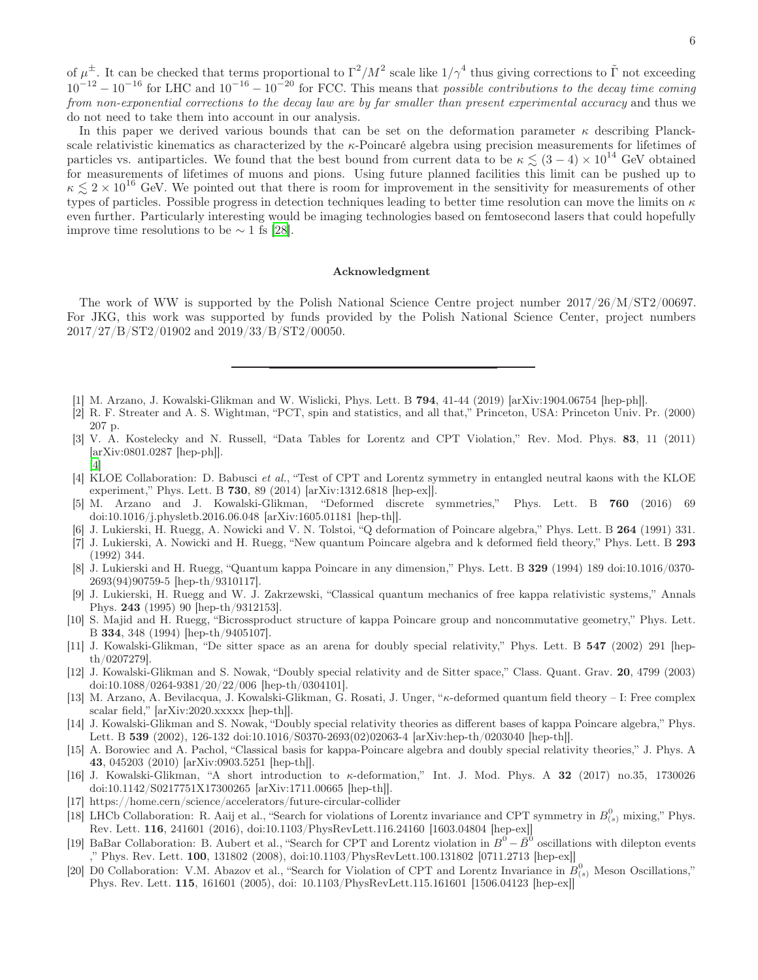of  $\mu^{\pm}$ . It can be checked that terms proportional to  $\Gamma^2/M^2$  scale like  $1/\gamma^4$  thus giving corrections to  $\tilde{\Gamma}$  not exceeding  $10^{-12} - 10^{-16}$  for LHC and  $10^{-16} - 10^{-20}$  for FCC. This means that *possible contributions to the decay time coming* from non-exponential corrections to the decay law are by far smaller than present experimental accuracy and thus we do not need to take them into account in our analysis.

In this paper we derived various bounds that can be set on the deformation parameter  $\kappa$  describing Planckscale relativistic kinematics as characterized by the κ-Poincaré algebra using precision measurements for lifetimes of particles vs. antiparticles. We found that the best bound from current data to be  $\kappa \lesssim (3-4) \times 10^{14}$  GeV obtained for measurements of lifetimes of muons and pions. Using future planned facilities this limit can be pushed up to  $\kappa \lesssim 2 \times 10^{16}$  GeV. We pointed out that there is room for improvement in the sensitivity for measurements of other types of particles. Possible progress in detection techniques leading to better time resolution can move the limits on  $\kappa$ even further. Particularly interesting would be imaging technologies based on femtosecond lasers that could hopefully improve time resolutions to be  $\sim$  1 fs [\[28](#page-6-6)].

## Acknowledgment

The work of WW is supported by the Polish National Science Centre project number 2017/26/M/ST2/00697. For JKG, this work was supported by funds provided by the Polish National Science Center, project numbers 2017/27/B/ST2/01902 and 2019/33/B/ST2/00050.

- <span id="page-5-0"></span>[1] M. Arzano, J. Kowalski-Glikman and W. Wislicki, Phys. Lett. B 794, 41-44 (2019) [arXiv:1904.06754 [hep-ph]].
- <span id="page-5-1"></span>[2] R. F. Streater and A. S. Wightman, "PCT, spin and statistics, and all that," Princeton, USA: Princeton Univ. Pr. (2000) 207 p.
- <span id="page-5-2"></span>[3] V. A. Kostelecky and N. Russell, "Data Tables for Lorentz and CPT Violation," Rev. Mod. Phys. 83, 11 (2011) [arXiv:0801.0287 [hep-ph]].
- <span id="page-5-3"></span>[4] KLOE Collaboration: D. Babusci et al., "Test of CPT and Lorentz symmetry in entangled neutral kaons with the KLOE experiment," Phys. Lett. B 730, 89 (2014) [arXiv:1312.6818 [hep-ex]].
- <span id="page-5-4"></span>[5] M. Arzano and J. Kowalski-Glikman, "Deformed discrete symmetries," Phys. Lett. B 760 (2016) 69 doi:10.1016/j.physletb.2016.06.048 [arXiv:1605.01181 [hep-th]].
- <span id="page-5-5"></span>[6] J. Lukierski, H. Ruegg, A. Nowicki and V. N. Tolstoi, "Q deformation of Poincare algebra," Phys. Lett. B 264 (1991) 331.
- [7] J. Lukierski, A. Nowicki and H. Ruegg, "New quantum Poincare algebra and k deformed field theory," Phys. Lett. B 293 (1992) 344.
- <span id="page-5-6"></span>[8] J. Lukierski and H. Ruegg, "Quantum kappa Poincare in any dimension," Phys. Lett. B 329 (1994) 189 doi:10.1016/0370- 2693(94)90759-5 [hep-th/9310117].
- [9] J. Lukierski, H. Ruegg and W. J. Zakrzewski, "Classical quantum mechanics of free kappa relativistic systems," Annals Phys. 243 (1995) 90 [hep-th/9312153].
- <span id="page-5-7"></span>[10] S. Majid and H. Ruegg, "Bicrossproduct structure of kappa Poincare group and noncommutative geometry," Phys. Lett. B 334, 348 (1994) [hep-th/9405107].
- <span id="page-5-8"></span>[11] J. Kowalski-Glikman, "De sitter space as an arena for doubly special relativity," Phys. Lett. B 547 (2002) 291 [hepth/0207279].
- <span id="page-5-9"></span>[12] J. Kowalski-Glikman and S. Nowak, "Doubly special relativity and de Sitter space," Class. Quant. Grav. 20, 4799 (2003) doi:10.1088/0264-9381/20/22/006 [hep-th/0304101].
- <span id="page-5-10"></span>[13] M. Arzano, A. Bevilacqua, J. Kowalski-Glikman, G. Rosati, J. Unger, "κ-deformed quantum field theory – I: Free complex scalar field," [arXiv:2020.xxxxx [hep-th]].
- <span id="page-5-11"></span>[14] J. Kowalski-Glikman and S. Nowak, "Doubly special relativity theories as different bases of kappa Poincare algebra," Phys. Lett. B 539 (2002), 126-132 doi:10.1016/S0370-2693(02)02063-4 [arXiv:hep-th/0203040 [hep-th]].
- <span id="page-5-12"></span>[15] A. Borowiec and A. Pachol, "Classical basis for kappa-Poincare algebra and doubly special relativity theories," J. Phys. A 43, 045203 (2010) [arXiv:0903.5251 [hep-th]].
- <span id="page-5-13"></span>[16] J. Kowalski-Glikman, "A short introduction to κ-deformation," Int. J. Mod. Phys. A 32 (2017) no.35, 1730026 doi:10.1142/S0217751X17300265 [arXiv:1711.00665 [hep-th]].
- <span id="page-5-14"></span>[17] https://home.cern/science/accelerators/future-circular-collider

[\[4](#page-5-3)]

- <span id="page-5-15"></span>[18] LHCb Collaboration: R. Aaij et al., "Search for violations of Lorentz invariance and CPT symmetry in  $B_{(s)}^0$  mixing," Phys. Rev. Lett. 116, 241601 (2016), doi:10.1103/PhysRevLett.116.24160 [1603.04804 [hep-ex]]
- [19] BaBar Collaboration: B. Aubert et al., "Search for CPT and Lorentz violation in  $B^0 \overline{B}^0$  oscillations with dilepton events ," Phys. Rev. Lett. 100, 131802 (2008), doi:10.1103/PhysRevLett.100.131802 [0711.2713 [hep-ex]]
- [20] D0 Collaboration: V.M. Abazov et al., "Search for Violation of CPT and Lorentz Invariance in  $B_{(s)}^0$  Meson Oscillations," Phys. Rev. Lett. 115, 161601 (2005), doi: 10.1103/PhysRevLett.115.161601 [1506.04123 [hep-ex]]